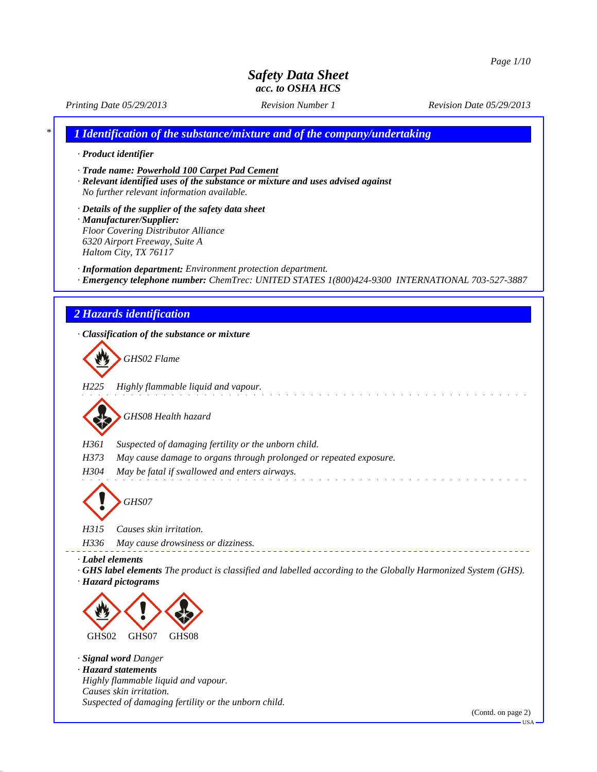*Printing Date 05/29/2013 Revision Number 1 Revision Date 05/29/2013*

*\* 1 Identification of the substance/mixture and of the company/undertaking*

#### *· Product identifier*

*· Trade name: Powerhold 100 Carpet Pad Cement*

- *· Relevant identified uses of the substance or mixture and uses advised against No further relevant information available.*
- *· Details of the supplier of the safety data sheet · Manufacturer/Supplier: Floor Covering Distributor Alliance 6320 Airport Freeway, Suite A Haltom City, TX 76117*

*· Information department: Environment protection department.*

*· Emergency telephone number: ChemTrec: UNITED STATES 1(800)424-9300 INTERNATIONAL 703-527-3887*

#### *2 Hazards identification*

*· Classification of the substance or mixture GHS02 Flame H225 Highly flammable liquid and vapour.* and a straight and *GHS08 Health hazard H361 Suspected of damaging fertility or the unborn child. H373 May cause damage to organs through prolonged or repeated exposure. H304 May be fatal if swallowed and enters airways. GHS07 H315 Causes skin irritation. H336 May cause drowsiness or dizziness. · Label elements · GHS label elements The product is classified and labelled according to the Globally Harmonized System (GHS). · Hazard pictograms* GHS02 GHS07 GHS08 *· Signal word Danger · Hazard statements Highly flammable liquid and vapour. Causes skin irritation. Suspected of damaging fertility or the unborn child.*

(Contd. on page 2)

 $-<sub>USA</sub>$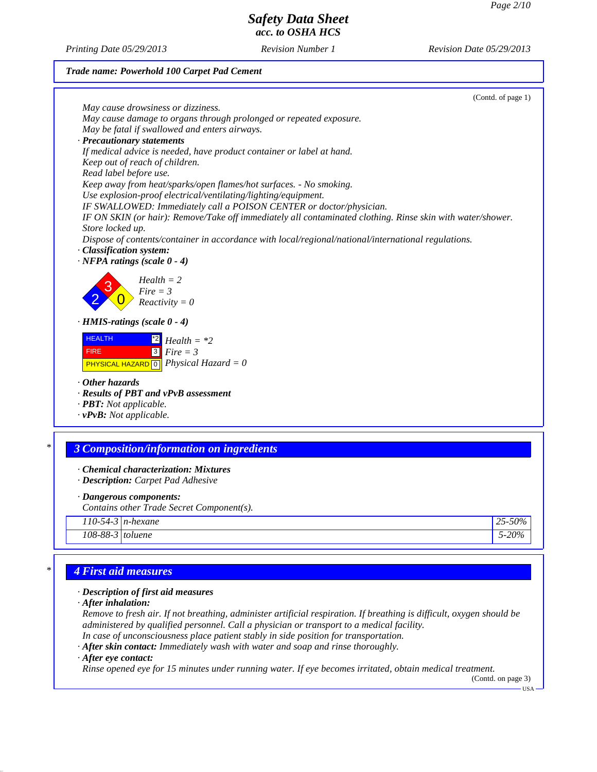*Printing Date 05/29/2013 Revision Number 1 Revision Date 05/29/2013*

#### *Trade name: Powerhold 100 Carpet Pad Cement*

| (Contd. of page 1)                                                                                         |  |
|------------------------------------------------------------------------------------------------------------|--|
| May cause drowsiness or dizziness.                                                                         |  |
| May cause damage to organs through prolonged or repeated exposure.                                         |  |
| May be fatal if swallowed and enters airways.                                                              |  |
| · Precautionary statements                                                                                 |  |
| If medical advice is needed, have product container or label at hand.                                      |  |
| Keep out of reach of children.                                                                             |  |
| Read label before use.                                                                                     |  |
| Keep away from heat/sparks/open flames/hot surfaces. - No smoking.                                         |  |
| Use explosion-proof electrical/ventilating/lighting/equipment.                                             |  |
| IF SWALLOWED: Immediately call a POISON CENTER or doctor/physician.                                        |  |
| IF ON SKIN (or hair): Remove/Take off immediately all contaminated clothing. Rinse skin with water/shower. |  |
| Store locked up.                                                                                           |  |
| Dispose of contents/container in accordance with local/regional/national/international regulations.        |  |
| · Classification system:                                                                                   |  |
| $\cdot$ NFPA ratings (scale 0 - 4)                                                                         |  |
|                                                                                                            |  |
| $Health = 2$                                                                                               |  |
| $Fire = 3$                                                                                                 |  |
| $Reactivity = 0$                                                                                           |  |
|                                                                                                            |  |
| $\cdot$ HMIS-ratings (scale $0 - 4$ )                                                                      |  |
| <b>HEALTH</b><br>$\mathbb{Z}$ Health = *2                                                                  |  |
| $3$ Fire = 3<br><b>FIRE</b>                                                                                |  |
|                                                                                                            |  |
| <b>PHYSICAL HAZARD</b> $\boxed{0}$ <i>Physical Hazard</i> = 0                                              |  |
| $\cdot$ Other hazards                                                                                      |  |
| · Results of PBT and vPvB assessment                                                                       |  |
| · <b>PBT</b> : Not applicable.                                                                             |  |
| $\cdot$ vPvB: Not applicable.                                                                              |  |
|                                                                                                            |  |
|                                                                                                            |  |

#### *\* 3 Composition/information on ingredients*

- *· Chemical characterization: Mixtures*
- *· Description: Carpet Pad Adhesive*
- *· Dangerous components:*

*Contains other Trade Secret Component(s).*

*110-54-3 n-hexane 25-50%*

*108-88-3 toluene 5-20%*

### *\* 4 First aid measures*

#### *· Description of first aid measures*

*· After inhalation:*

*Remove to fresh air. If not breathing, administer artificial respiration. If breathing is difficult, oxygen should be administered by qualified personnel. Call a physician or transport to a medical facility. In case of unconsciousness place patient stably in side position for transportation.*

*· After skin contact: Immediately wash with water and soap and rinse thoroughly.*

*· After eye contact:*

*Rinse opened eye for 15 minutes under running water. If eye becomes irritated, obtain medical treatment.*

(Contd. on page 3)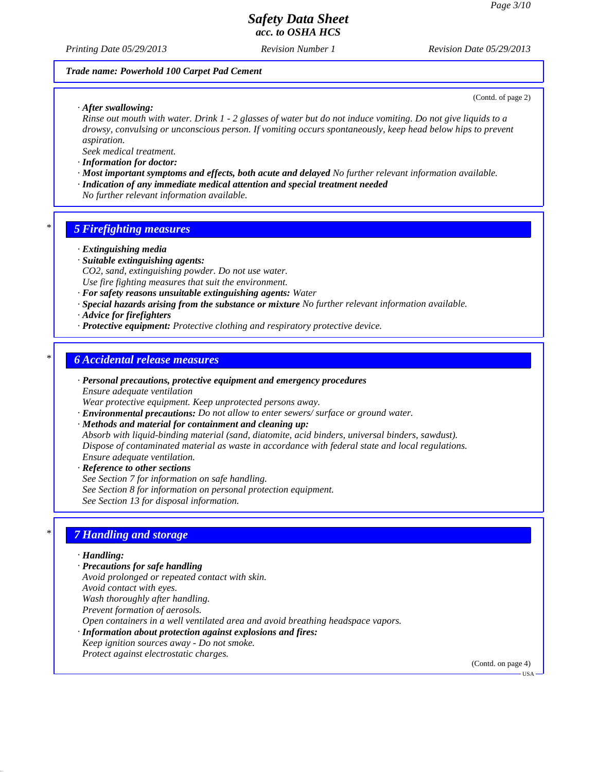*Printing Date 05/29/2013 Revision Number 1 Revision Date 05/29/2013*

#### *Trade name: Powerhold 100 Carpet Pad Cement*

(Contd. of page 2)

*· After swallowing:*

*Rinse out mouth with water. Drink 1 - 2 glasses of water but do not induce vomiting. Do not give liquids to a drowsy, convulsing or unconscious person. If vomiting occurs spontaneously, keep head below hips to prevent aspiration.*

*Seek medical treatment.*

- *· Information for doctor:*
- *· Most important symptoms and effects, both acute and delayed No further relevant information available. · Indication of any immediate medical attention and special treatment needed*
- *No further relevant information available.*

### *\* 5 Firefighting measures*

- *· Extinguishing media*
- *· Suitable extinguishing agents:*
- *CO2, sand, extinguishing powder. Do not use water. Use fire fighting measures that suit the environment.*
- *· For safety reasons unsuitable extinguishing agents: Water*
- *· Special hazards arising from the substance or mixture No further relevant information available.*
- *· Advice for firefighters*
- *· Protective equipment: Protective clothing and respiratory protective device.*

### *\* 6 Accidental release measures*

- *· Personal precautions, protective equipment and emergency procedures Ensure adequate ventilation*
- *Wear protective equipment. Keep unprotected persons away.*
- *· Environmental precautions: Do not allow to enter sewers/ surface or ground water.*
- *· Methods and material for containment and cleaning up:*

*Absorb with liquid-binding material (sand, diatomite, acid binders, universal binders, sawdust). Dispose of contaminated material as waste in accordance with federal state and local regulations. Ensure adequate ventilation.*

*· Reference to other sections See Section 7 for information on safe handling. See Section 8 for information on personal protection equipment. See Section 13 for disposal information.*

### *\* 7 Handling and storage*

#### *· Handling:*

- *· Precautions for safe handling*
- *Avoid prolonged or repeated contact with skin.*
- *Avoid contact with eyes.*
- *Wash thoroughly after handling.*
- *Prevent formation of aerosols.*
- *Open containers in a well ventilated area and avoid breathing headspace vapors.*
- *· Information about protection against explosions and fires:*
- *Keep ignition sources away Do not smoke. Protect against electrostatic charges.*

(Contd. on page 4)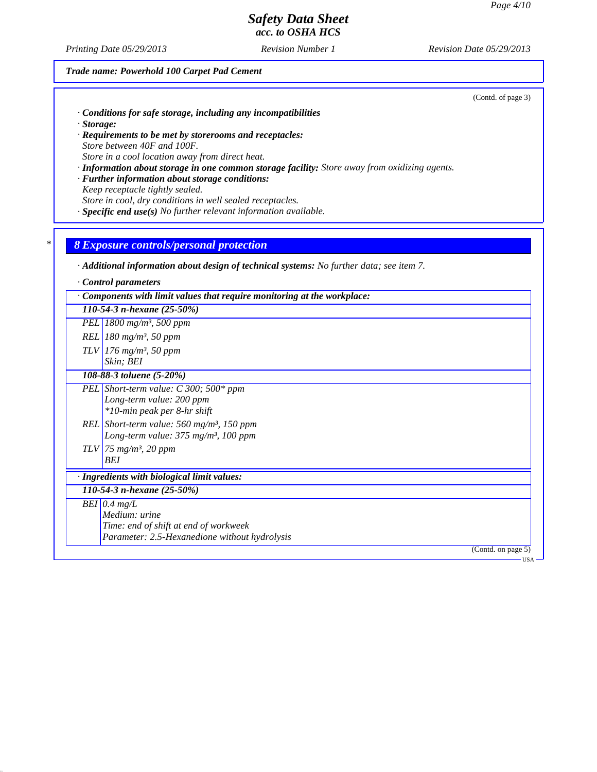*Printing Date 05/29/2013 Revision Number 1 Revision Date 05/29/2013*

### *Trade name: Powerhold 100 Carpet Pad Cement*

(Contd. of page 3)

- *· Conditions for safe storage, including any incompatibilities · Storage:*
- *· Requirements to be met by storerooms and receptacles: Store between 40F and 100F. Store in a cool location away from direct heat.*
- *· Information about storage in one common storage facility: Store away from oxidizing agents.*
- *· Further information about storage conditions: Keep receptacle tightly sealed.*

*Store in cool, dry conditions in well sealed receptacles.*

*· Specific end use(s) No further relevant information available.*

#### *\* 8 Exposure controls/personal protection*

*· Additional information about design of technical systems: No further data; see item 7.*

| Control parameters                                                                                         |
|------------------------------------------------------------------------------------------------------------|
| $\cdot$ Components with limit values that require monitoring at the workplace:                             |
| 110-54-3 n-hexane $(25-50\%)$                                                                              |
| PEL 1800 mg/m <sup>3</sup> , 500 ppm                                                                       |
| $REL   180 mg/m^3$ , 50 ppm                                                                                |
| $TLV$ 176 mg/m <sup>3</sup> , 50 ppm                                                                       |
| Skin; BEI                                                                                                  |
| 108-88-3 toluene (5-20%)                                                                                   |
| PEL Short-term value: C 300; 500* ppm                                                                      |
| Long-term value: 200 ppm<br>*10-min peak per 8-hr shift                                                    |
|                                                                                                            |
| REL Short-term value: $560$ mg/m <sup>3</sup> , 150 ppm<br>Long-term value: $375 \text{ mg/m}^3$ , 100 ppm |
| $TLV$ 75 mg/m <sup>3</sup> , 20 ppm                                                                        |
| BEI                                                                                                        |
| · Ingredients with biological limit values:                                                                |
| 110-54-3 n-hexane $(25-50%)$                                                                               |
| $BEI$ 0.4 mg/L                                                                                             |
| Medium: urine                                                                                              |
| Time: end of shift at end of workweek                                                                      |
| Parameter: 2.5-Hexanedione without hydrolysis                                                              |
| (Contd. on page 5)                                                                                         |
| <b>USA</b>                                                                                                 |
|                                                                                                            |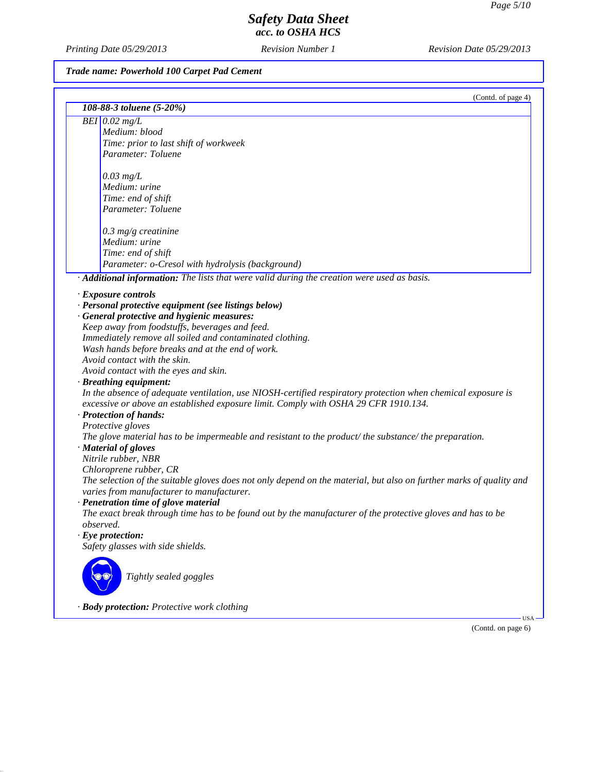*Printing Date 05/29/2013 Revision Number 1 Revision Date 05/29/2013*

## *Trade name: Powerhold 100 Carpet Pad Cement*

|                                                                                                                                                                                                     | (Contd. of page 4) |
|-----------------------------------------------------------------------------------------------------------------------------------------------------------------------------------------------------|--------------------|
| 108-88-3 toluene (5-20%)                                                                                                                                                                            |                    |
| BEI $0.02$ mg/L                                                                                                                                                                                     |                    |
| Medium: blood                                                                                                                                                                                       |                    |
| Time: prior to last shift of workweek                                                                                                                                                               |                    |
| Parameter: Toluene                                                                                                                                                                                  |                    |
|                                                                                                                                                                                                     |                    |
| $0.03$ mg/L                                                                                                                                                                                         |                    |
| Medium: urine                                                                                                                                                                                       |                    |
| Time: end of shift                                                                                                                                                                                  |                    |
| Parameter: Toluene                                                                                                                                                                                  |                    |
| $0.3$ mg/g creatinine                                                                                                                                                                               |                    |
| Medium: urine                                                                                                                                                                                       |                    |
| Time: end of shift                                                                                                                                                                                  |                    |
| Parameter: o-Cresol with hydrolysis (background)                                                                                                                                                    |                    |
| · Additional information: The lists that were valid during the creation were used as basis.                                                                                                         |                    |
| · Exposure controls                                                                                                                                                                                 |                    |
| · Personal protective equipment (see listings below)                                                                                                                                                |                    |
| · General protective and hygienic measures:                                                                                                                                                         |                    |
| Keep away from foodstuffs, beverages and feed.                                                                                                                                                      |                    |
| Immediately remove all soiled and contaminated clothing.                                                                                                                                            |                    |
| Wash hands before breaks and at the end of work.                                                                                                                                                    |                    |
| Avoid contact with the skin.                                                                                                                                                                        |                    |
| Avoid contact with the eyes and skin.                                                                                                                                                               |                    |
| · Breathing equipment:                                                                                                                                                                              |                    |
| In the absence of adequate ventilation, use NIOSH-certified respiratory protection when chemical exposure is<br>excessive or above an established exposure limit. Comply with OSHA 29 CFR 1910.134. |                    |
| · Protection of hands:                                                                                                                                                                              |                    |
| Protective gloves                                                                                                                                                                                   |                    |
| The glove material has to be impermeable and resistant to the product/the substance/the preparation.                                                                                                |                    |
| · Material of gloves                                                                                                                                                                                |                    |
| Nitrile rubber, NBR                                                                                                                                                                                 |                    |
| Chloroprene rubber, CR                                                                                                                                                                              |                    |
| The selection of the suitable gloves does not only depend on the material, but also on further marks of quality and<br>varies from manufacturer to manufacturer.                                    |                    |
| · Penetration time of glove material                                                                                                                                                                |                    |
| The exact break through time has to be found out by the manufacturer of the protective gloves and has to be<br>observed.                                                                            |                    |
| $\cdot$ Eye protection:                                                                                                                                                                             |                    |
| Safety glasses with side shields.                                                                                                                                                                   |                    |
| Tightly sealed goggles                                                                                                                                                                              |                    |
|                                                                                                                                                                                                     |                    |

*· Body protection: Protective work clothing*

(Contd. on page 6)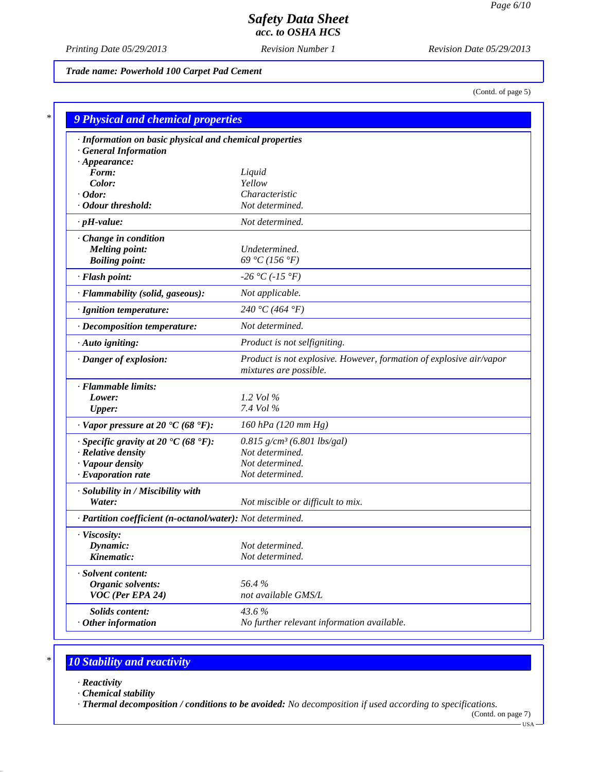*Printing Date 05/29/2013 Revision Number 1 Revision Date 05/29/2013*

*Trade name: Powerhold 100 Carpet Pad Cement*

(Contd. of page 5)

| · Information on basic physical and chemical properties    |                                                                                               |
|------------------------------------------------------------|-----------------------------------------------------------------------------------------------|
| <b>General Information</b>                                 |                                                                                               |
| $\cdot$ Appearance:                                        |                                                                                               |
| Form:                                                      | Liquid                                                                                        |
| Color:                                                     | Yellow                                                                                        |
| $\cdot$ Odor:<br>· Odour threshold:                        | Characteristic<br>Not determined.                                                             |
|                                                            |                                                                                               |
| $\cdot$ pH-value:                                          | Not determined.                                                                               |
| Change in condition                                        |                                                                                               |
| <b>Melting point:</b>                                      | Undetermined.                                                                                 |
| <b>Boiling point:</b>                                      | 69 °C (156 °F)                                                                                |
| · Flash point:                                             | $-26 °C (-15 °F)$                                                                             |
| · Flammability (solid, gaseous):                           | Not applicable.                                                                               |
| · Ignition temperature:                                    | 240 °C (464 °F)                                                                               |
| · Decomposition temperature:                               | Not determined.                                                                               |
| · Auto igniting:                                           | Product is not selfigniting.                                                                  |
| · Danger of explosion:                                     | Product is not explosive. However, formation of explosive air/vapor<br>mixtures are possible. |
| · Flammable limits:                                        |                                                                                               |
| Lower:                                                     | 1.2 Vol $\%$                                                                                  |
| <b>Upper:</b>                                              | 7.4 Vol %                                                                                     |
| $\cdot$ Vapor pressure at 20 $\cdot$ C (68 $\cdot$ F):     | 160 hPa (120 mm Hg)                                                                           |
| $\cdot$ Specific gravity at 20 °C (68 °F):                 | $0.815$ g/cm <sup>3</sup> (6.801 lbs/gal)                                                     |
| · Relative density                                         | Not determined.                                                                               |
| · Vapour density                                           | Not determined.                                                                               |
| $\cdot$ Evaporation rate                                   | Not determined.                                                                               |
| · Solubility in / Miscibility with                         |                                                                                               |
| Water:                                                     | Not miscible or difficult to mix.                                                             |
| · Partition coefficient (n-octanol/water): Not determined. |                                                                                               |
| · Viscosity:                                               |                                                                                               |
| Dynamic:                                                   | Not determined.                                                                               |
| Kinematic:                                                 | Not determined.                                                                               |
| · Solvent content:                                         |                                                                                               |
| Organic solvents:                                          | 56.4%                                                                                         |
| VOC (Per EPA 24)                                           | not available GMS/L                                                                           |
| Solids content:                                            | 43.6%                                                                                         |
| $·$ Other information                                      | No further relevant information available.                                                    |

# *\* 10 Stability and reactivity*

- *· Reactivity*
- *· Chemical stability*

*· Thermal decomposition / conditions to be avoided: No decomposition if used according to specifications.*

<sup>(</sup>Contd. on page 7) USA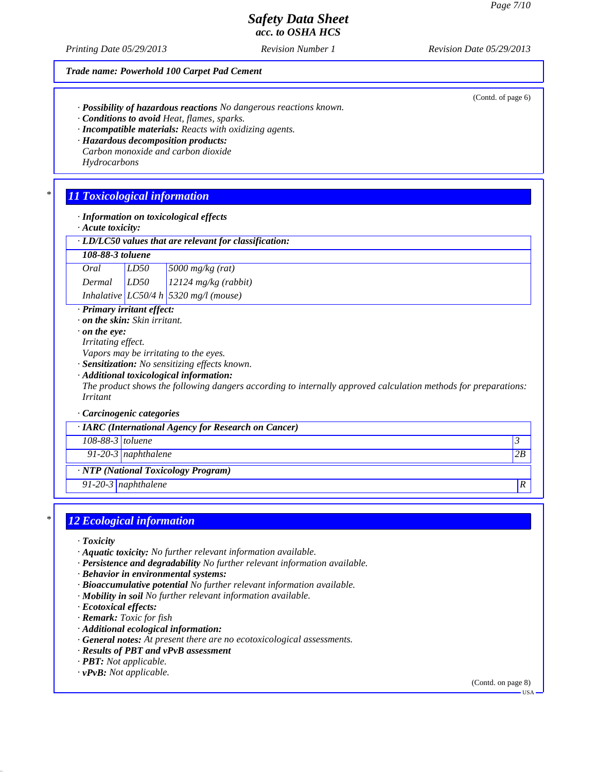(Contd. of page 6)

## *Safety Data Sheet acc. to OSHA HCS*

*Printing Date 05/29/2013 Revision Number 1 Revision Date 05/29/2013*

#### *Trade name: Powerhold 100 Carpet Pad Cement*

- *· Possibility of hazardous reactions No dangerous reactions known.*
- *· Conditions to avoid Heat, flames, sparks.*
- *· Incompatible materials: Reacts with oxidizing agents.*
- *· Hazardous decomposition products:*
- *Carbon monoxide and carbon dioxide Hydrocarbons*

### *\* 11 Toxicological information*

- *· Information on toxicological effects*
- *· Acute toxicity:*

| · LD/LC50 values that are relevant for classification: |  |  |
|--------------------------------------------------------|--|--|
|--------------------------------------------------------|--|--|

#### *108-88-3 toluene*

| Oral   | LD50 | $\sqrt{5000 \frac{mg}{kg(rat)}}$      |
|--------|------|---------------------------------------|
| Dermal | LD50 | $12124$ mg/kg (rabbit)                |
|        |      | Inhalative LC50/4 h 5320 mg/l (mouse) |

- *· Primary irritant effect:*
- *· on the skin: Skin irritant.*
- *· on the eye:*
- *Irritating effect.*
- *Vapors may be irritating to the eyes.*
- *· Sensitization: No sensitizing effects known.*
- *· Additional toxicological information:*

*The product shows the following dangers according to internally approved calculation methods for preparations: Irritant*

#### *· Carcinogenic categories*

| $\cdot$ IARC (International Agency for Research on Cancer) |                     |    |
|------------------------------------------------------------|---------------------|----|
| $108-88-3$ toluene                                         |                     |    |
|                                                            | 91-20-3 naphthalene | 2B |
| $\cdot$ NTP (National Toxicology Program)                  |                     |    |
|                                                            | 91-20-3 naphthalene |    |

### *\* 12 Ecological information*

- *· Toxicity*
- *· Aquatic toxicity: No further relevant information available.*
- *· Persistence and degradability No further relevant information available.*
- *· Behavior in environmental systems:*
- *· Bioaccumulative potential No further relevant information available.*
- *· Mobility in soil No further relevant information available.*
- *· Ecotoxical effects:*
- *· Remark: Toxic for fish*
- *· Additional ecological information:*
- *· General notes: At present there are no ecotoxicological assessments.*
- *· Results of PBT and vPvB assessment*
- *· PBT: Not applicable.*
- *· vPvB: Not applicable.*

(Contd. on page 8)

USA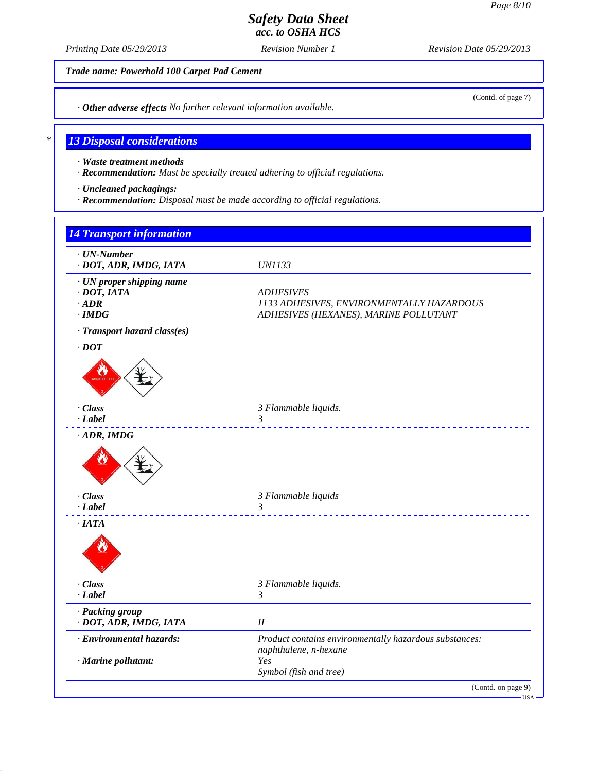*Printing Date 05/29/2013 Revision Number 1 Revision Date 05/29/2013*

*Trade name: Powerhold 100 Carpet Pad Cement*

(Contd. of page 7)

*· Other adverse effects No further relevant information available.*

## *\* 13 Disposal considerations*

*· Waste treatment methods*

*· Recommendation: Must be specially treated adhering to official regulations.*

*· Uncleaned packagings:*

*· Recommendation: Disposal must be made according to official regulations.*

| <b>14 Transport information</b>                                               |                                                                                                        |
|-------------------------------------------------------------------------------|--------------------------------------------------------------------------------------------------------|
| $\cdot$ UN-Number<br>· DOT, ADR, IMDG, IATA                                   | <b>UN1133</b>                                                                                          |
| · UN proper shipping name<br>$\cdot$ DOT, IATA<br>$\cdot$ ADR<br>$\cdot$ IMDG | <b>ADHESIVES</b><br>1133 ADHESIVES, ENVIRONMENTALLY HAZARDOUS<br>ADHESIVES (HEXANES), MARINE POLLUTANT |
| · Transport hazard class(es)                                                  |                                                                                                        |
| $\cdot$ DOT                                                                   |                                                                                                        |
| · Class                                                                       | 3 Flammable liquids.                                                                                   |
| $-Label$<br>$\cdot$ ADR, IMDG                                                 | $\mathfrak{Z}$                                                                                         |
|                                                                               |                                                                                                        |
| · Class<br>$-Label$                                                           | 3 Flammable liquids<br>$\mathfrak{Z}$                                                                  |
| ·IATA                                                                         |                                                                                                        |
| · Class<br>$-Label$                                                           | 3 Flammable liquids.<br>3                                                                              |
| · Packing group<br>· DOT, ADR, IMDG, IATA                                     | $I\!I$                                                                                                 |
| · Environmental hazards:                                                      | Product contains environmentally hazardous substances:                                                 |
| · Marine pollutant:                                                           | naphthalene, n-hexane<br>Yes<br>Symbol (fish and tree)                                                 |
|                                                                               | (Contd. on page 9)<br>$\cdot$ USA –                                                                    |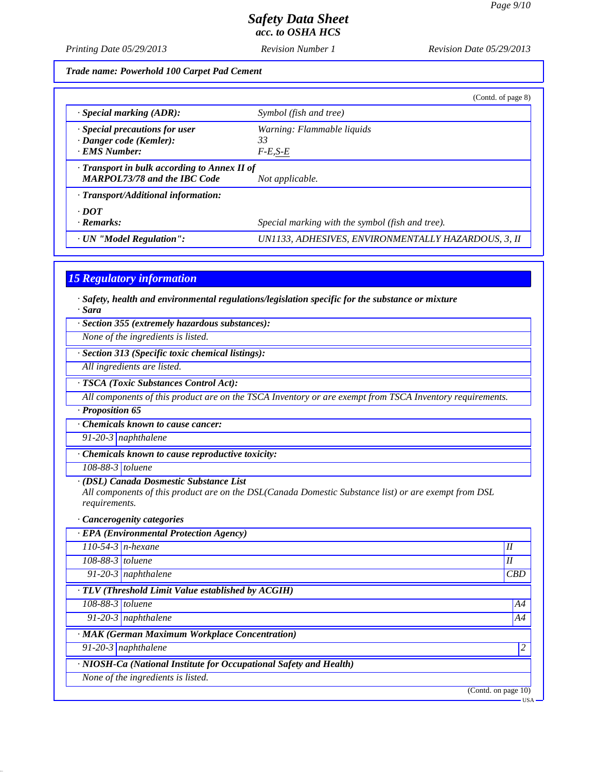*Printing Date 05/29/2013 Revision Number 1 Revision Date 05/29/2013*

*Trade name: Powerhold 100 Carpet Pad Cement*

|                                                                                           | (Contd. of page 8)                                  |
|-------------------------------------------------------------------------------------------|-----------------------------------------------------|
| $\cdot$ Special marking (ADR):                                                            | Symbol (fish and tree)                              |
| · Special precautions for user                                                            | Warning: Flammable liquids                          |
| · Danger code (Kemler):                                                                   | 33                                                  |
| · EMS Number:                                                                             | $F-E, S-E$                                          |
| $\cdot$ Transport in bulk according to Annex II of<br><b>MARPOL73/78 and the IBC Code</b> | Not applicable.                                     |
| · Transport/Additional information:                                                       |                                                     |
| $\cdot$ DOT                                                                               |                                                     |
| $\cdot$ Remarks:                                                                          | Special marking with the symbol (fish and tree).    |
| · UN "Model Regulation":                                                                  | UN1133, ADHESIVES, ENVIRONMENTALLY HAZARDOUS, 3, II |

### *15 Regulatory information*

*· Safety, health and environmental regulations/legislation specific for the substance or mixture · Sara*

*· Section 355 (extremely hazardous substances):*

*None of the ingredients is listed.*

*· Section 313 (Specific toxic chemical listings):*

*All ingredients are listed.*

*· TSCA (Toxic Substances Control Act):*

*All components of this product are on the TSCA Inventory or are exempt from TSCA Inventory requirements.*

*· Proposition 65*

*· Chemicals known to cause cancer:*

*91-20-3 naphthalene*

*· Chemicals known to cause reproductive toxicity:*

*108-88-3 toluene*

*· (DSL) Canada Dosmestic Substance List*

*All components of this product are on the DSL(Canada Domestic Substance list) or are exempt from DSL requirements.*

*· Cancerogenity categories*

|                    | · EPA (Environmental Protection Agency)                            |                        |       |
|--------------------|--------------------------------------------------------------------|------------------------|-------|
|                    | $110-54-3$ n-hexane                                                | I                      |       |
| $108-88-3$ toluene |                                                                    | I                      |       |
|                    | 91-20-3 naphthalene                                                | CBD                    |       |
|                    | · TLV (Threshold Limit Value established by ACGIH)                 |                        |       |
| 108-88-3 toluene   |                                                                    |                        | A4    |
|                    | $\overline{91-20-3}$ naphthalene                                   |                        | A4    |
|                    | · MAK (German Maximum Workplace Concentration)                     |                        |       |
|                    | 91-20-3 naphthalene                                                |                        | C     |
|                    | · NIOSH-Ca (National Institute for Occupational Safety and Health) |                        |       |
|                    | None of the ingredients is listed.                                 |                        |       |
|                    |                                                                    | (Contd. on page $10$ ) |       |
|                    |                                                                    |                        | · USA |